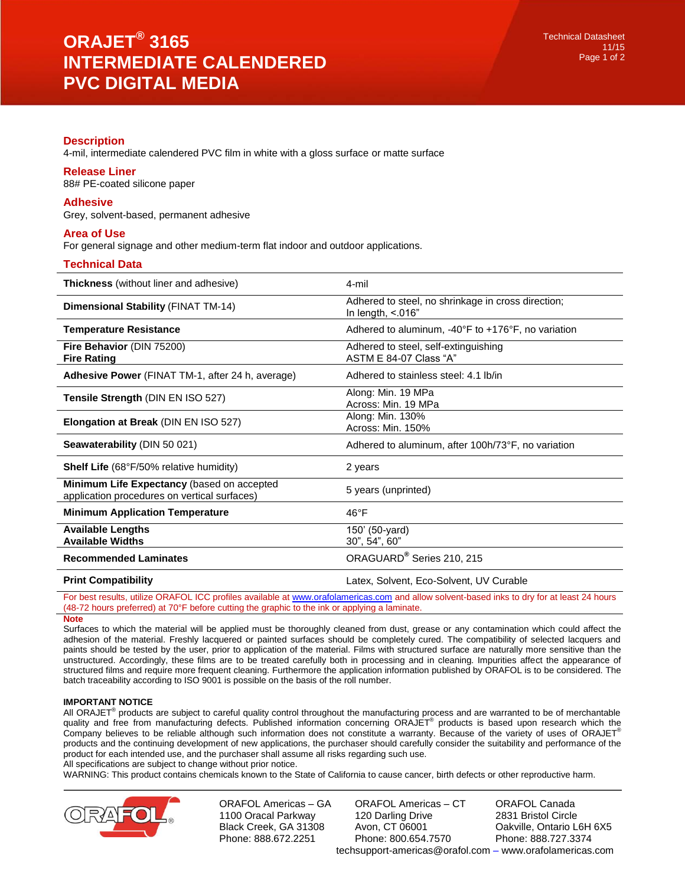# **Description**

4-mil, intermediate calendered PVC film in white with a gloss surface or matte surface

## **Release Liner**

88# PE-coated silicone paper

#### **Adhesive**

Grey, solvent-based, permanent adhesive

## **Area of Use**

For general signage and other medium-term flat indoor and outdoor applications.

#### **Technical Data**

| <b>Thickness</b> (without liner and adhesive)                                              | 4-mil                                                                      |
|--------------------------------------------------------------------------------------------|----------------------------------------------------------------------------|
| <b>Dimensional Stability (FINAT TM-14)</b>                                                 | Adhered to steel, no shrinkage in cross direction;<br>In length, $< 016$ " |
| <b>Temperature Resistance</b>                                                              | Adhered to aluminum, $-40^{\circ}$ F to $+176^{\circ}$ F, no variation     |
| Fire Behavior (DIN 75200)<br><b>Fire Rating</b>                                            | Adhered to steel, self-extinguishing<br>ASTM E 84-07 Class "A"             |
| Adhesive Power (FINAT TM-1, after 24 h, average)                                           | Adhered to stainless steel: 4.1 lb/in                                      |
| Tensile Strength (DIN EN ISO 527)                                                          | Along: Min. 19 MPa<br>Across: Min. 19 MPa                                  |
| <b>Elongation at Break (DIN EN ISO 527)</b>                                                | Along: Min. 130%<br>Across: Min. 150%                                      |
| <b>Seawaterability (DIN 50 021)</b>                                                        | Adhered to aluminum, after 100h/73°F, no variation                         |
| <b>Shelf Life</b> (68°F/50% relative humidity)                                             | 2 years                                                                    |
| Minimum Life Expectancy (based on accepted<br>application procedures on vertical surfaces) | 5 years (unprinted)                                                        |
| <b>Minimum Application Temperature</b>                                                     | $46^{\circ}F$                                                              |
| <b>Available Lengths</b><br><b>Available Widths</b>                                        | 150' (50-yard)<br>30", 54", 60"                                            |
| <b>Recommended Laminates</b>                                                               | ORAGUARD <sup>®</sup> Series 210, 215                                      |
| <b>Print Compatibility</b>                                                                 | Latex, Solvent, Eco-Solvent, UV Curable                                    |

For best results, utilize ORAFOL ICC profiles available at [www.orafolamericas.com](http://www.orafolamericas.com/) and allow solvent-based inks to dry for at least 24 hours (48-72 hours preferred) at 70°F before cutting the graphic to the ink or applying a laminate.

#### **Note**

Surfaces to which the material will be applied must be thoroughly cleaned from dust, grease or any contamination which could affect the adhesion of the material. Freshly lacquered or painted surfaces should be completely cured. The compatibility of selected lacquers and paints should be tested by the user, prior to application of the material. Films with structured surface are naturally more sensitive than the unstructured. Accordingly, these films are to be treated carefully both in processing and in cleaning. Impurities affect the appearance of structured films and require more frequent cleaning. Furthermore the application information published by ORAFOL is to be considered. The batch traceability according to ISO 9001 is possible on the basis of the roll number.

#### **IMPORTANT NOTICE**

All ORAJET<sup>®</sup> products are subject to careful quality control throughout the manufacturing process and are warranted to be of merchantable quality and free from manufacturing defects. Published information concerning ORAJET® products is based upon research which the Company believes to be reliable although such information does not constitute a warranty. Because of the variety of uses of ORAJET® products and the continuing development of new applications, the purchaser should carefully consider the suitability and performance of the product for each intended use, and the purchaser shall assume all risks regarding such use.

All specifications are subject to change without prior notice.

WARNING: This product contains chemicals known to the State of California to cause cancer, birth defects or other reproductive harm.



ORAFOL Americas – GA 1100 Oracal Parkway Black Creek, GA 31308 Phone: 888.672.2251

ORAFOL Americas – CT 120 Darling Drive Avon, CT 06001 Phone: 800.654.7570 ORAFOL Canada 2831 Bristol Circle Oakville, Ontario L6H 6X5 Phone: 888.727.3374 techsupport-americas@orafol.com – www.orafolamericas.com